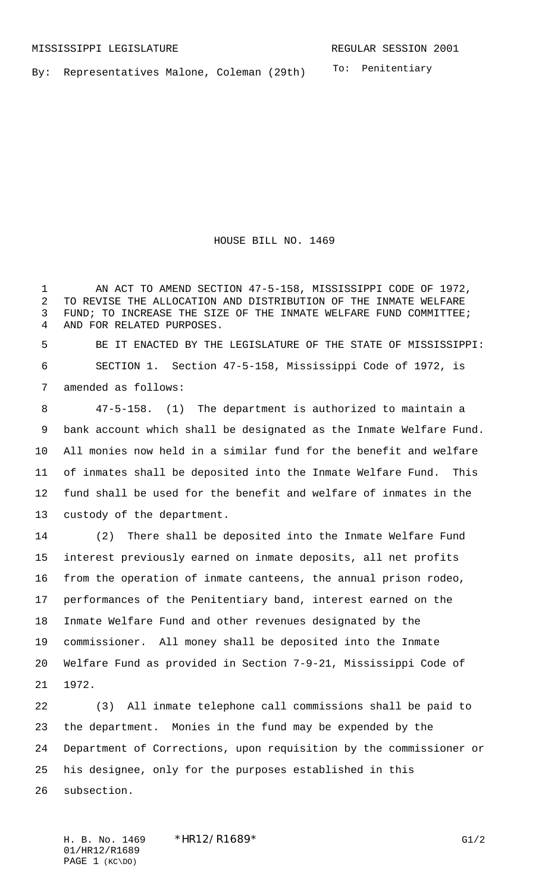To: Penitentiary By: Representatives Malone, Coleman (29th)

HOUSE BILL NO. 1469

 AN ACT TO AMEND SECTION 47-5-158, MISSISSIPPI CODE OF 1972, TO REVISE THE ALLOCATION AND DISTRIBUTION OF THE INMATE WELFARE FUND; TO INCREASE THE SIZE OF THE INMATE WELFARE FUND COMMITTEE; AND FOR RELATED PURPOSES.

 BE IT ENACTED BY THE LEGISLATURE OF THE STATE OF MISSISSIPPI: SECTION 1. Section 47-5-158, Mississippi Code of 1972, is amended as follows:

 47-5-158. (1) The department is authorized to maintain a bank account which shall be designated as the Inmate Welfare Fund. All monies now held in a similar fund for the benefit and welfare of inmates shall be deposited into the Inmate Welfare Fund. This fund shall be used for the benefit and welfare of inmates in the custody of the department.

 (2) There shall be deposited into the Inmate Welfare Fund interest previously earned on inmate deposits, all net profits from the operation of inmate canteens, the annual prison rodeo, performances of the Penitentiary band, interest earned on the Inmate Welfare Fund and other revenues designated by the commissioner. All money shall be deposited into the Inmate Welfare Fund as provided in Section 7-9-21, Mississippi Code of 1972.

 (3) All inmate telephone call commissions shall be paid to the department. Monies in the fund may be expended by the Department of Corrections, upon requisition by the commissioner or his designee, only for the purposes established in this subsection.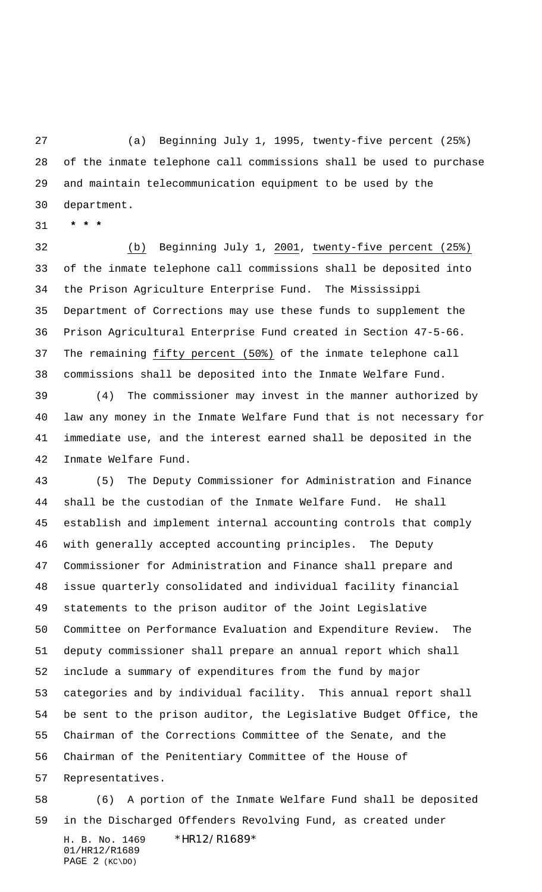(a) Beginning July 1, 1995, twenty-five percent (25%) of the inmate telephone call commissions shall be used to purchase and maintain telecommunication equipment to be used by the department.

 **\* \* \***

 (b) Beginning July 1, 2001, twenty-five percent (25%) of the inmate telephone call commissions shall be deposited into the Prison Agriculture Enterprise Fund. The Mississippi Department of Corrections may use these funds to supplement the Prison Agricultural Enterprise Fund created in Section 47-5-66. 37 The remaining fifty percent (50%) of the inmate telephone call commissions shall be deposited into the Inmate Welfare Fund.

 (4) The commissioner may invest in the manner authorized by law any money in the Inmate Welfare Fund that is not necessary for immediate use, and the interest earned shall be deposited in the Inmate Welfare Fund.

 (5) The Deputy Commissioner for Administration and Finance shall be the custodian of the Inmate Welfare Fund. He shall establish and implement internal accounting controls that comply with generally accepted accounting principles. The Deputy Commissioner for Administration and Finance shall prepare and issue quarterly consolidated and individual facility financial statements to the prison auditor of the Joint Legislative Committee on Performance Evaluation and Expenditure Review. The deputy commissioner shall prepare an annual report which shall include a summary of expenditures from the fund by major categories and by individual facility. This annual report shall be sent to the prison auditor, the Legislative Budget Office, the Chairman of the Corrections Committee of the Senate, and the Chairman of the Penitentiary Committee of the House of Representatives.

H. B. No. 1469 \*HR12/R1689\* 01/HR12/R1689 PAGE 2 (KC\DO) (6) A portion of the Inmate Welfare Fund shall be deposited in the Discharged Offenders Revolving Fund, as created under